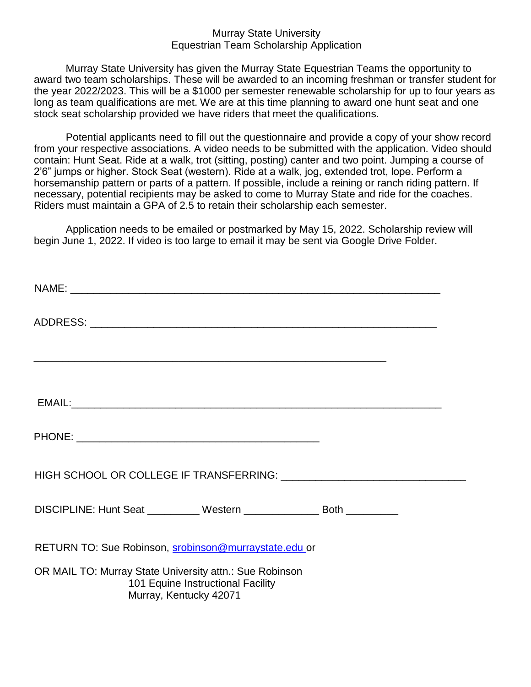## Murray State University Equestrian Team Scholarship Application

Murray State University has given the Murray State Equestrian Teams the opportunity to award two team scholarships. These will be awarded to an incoming freshman or transfer student for the year 2022/2023. This will be a \$1000 per semester renewable scholarship for up to four years as long as team qualifications are met. We are at this time planning to award one hunt seat and one stock seat scholarship provided we have riders that meet the qualifications.

Potential applicants need to fill out the questionnaire and provide a copy of your show record from your respective associations. A video needs to be submitted with the application. Video should contain: Hunt Seat. Ride at a walk, trot (sitting, posting) canter and two point. Jumping a course of 2'6" jumps or higher. Stock Seat (western). Ride at a walk, jog, extended trot, lope. Perform a horsemanship pattern or parts of a pattern. If possible, include a reining or ranch riding pattern. If necessary, potential recipients may be asked to come to Murray State and ride for the coaches. Riders must maintain a GPA of 2.5 to retain their scholarship each semester.

Application needs to be emailed or postmarked by May 15, 2022. Scholarship review will begin June 1, 2022. If video is too large to email it may be sent via Google Drive Folder.

| DISCIPLINE: Hunt Seat __________ Western _______________ Both __________                                               |  |
|------------------------------------------------------------------------------------------------------------------------|--|
| RETURN TO: Sue Robinson, srobinson@murraystate.edu or                                                                  |  |
| OR MAIL TO: Murray State University attn.: Sue Robinson<br>101 Equine Instructional Facility<br>Murray, Kentucky 42071 |  |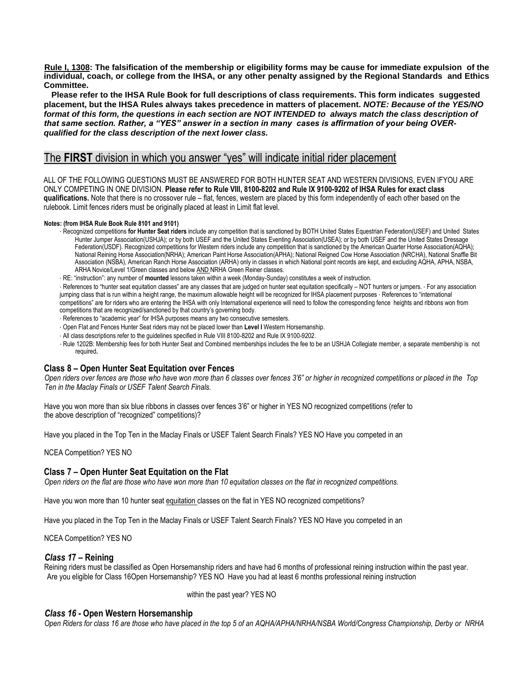**Rule I, 1308: The falsification of the membership or eligibility forms may be cause for immediate expulsion of the individual, coach, or college from the IHSA, or any other penalty assigned by the Regional Standards and Ethics Committee.**

**Please refer to the IHSA Rule Book for full descriptions of class requirements. This form indicates suggested placement, but the IHSA Rules always takes precedence in matters of placement.** *NOTE: Because of the YES/NO*  format of this form, the questions in each section are NOT INTENDED to always match the class description of *that same section. Rather, a "YES" answer in a section in many cases is affirmation of your being OVERqualified for the class description of the next lower class.*

# The **FIRST** division in which you answer "yes" will indicate initial rider placement

ALL OF THE FOLLOWING QUESTIONS MUST BE ANSWERED FOR BOTH HUNTER SEAT AND WESTERN DIVISIONS, EVEN IFYOU ARE ONLY COMPETING IN ONE DIVISION. **Please refer to Rule VIII, 8100-8202 and Rule IX 9100-9202 of IHSA Rules for exact class qualifications.** Note that there is no crossover rule – flat, fences, western are placed by this form independently of each other based on the rulebook. Limit fences riders must be originally placed at least in Limit flat level.

#### **Notes: (from IHSA Rule Book Rule 8101 and 9101)**

- ∙ Recognized competitions **for Hunter Seat riders** include any competition that is sanctioned by BOTH United States Equestrian Federation(USEF) and United States Hunter Jumper Association(USHJA); or by both USEF and the United States Eventing Association(USEA); or by both USEF and the United States Dressage Federation(USDF). Recognized competitions for Western riders include any competition that is sanctioned by the American Quarter Horse Association(AQHA); National Reining Horse Association(NRHA); American Paint Horse Association(APHA); National Reigned Cow Horse Association (NRCHA), National Snaffle Bit Association (NSBA), American Ranch Horse Association (ARHA) only in classes in which National point records are kept, and excluding AQHA, APHA, NSBA, ARHA Novice/Level 1/Green classes and below **AND NRHA Green Reiner classes**.
- ∙ RE: "instruction": any number of **mounted** lessons taken within a week (Monday-Sunday) constitutes a week of instruction.

∙ References to "hunter seat equitation classes" are any classes that are judged on hunter seat equitation specifically – NOT hunters or jumpers. ∙ For any association jumping class that is run within a height range, the maximum allowable height will be recognized for IHSA placement purposes ∙ References to "international competitions" are for riders who are entering the IHSA with only International experience will need to follow the corresponding fence heights and ribbons won from competitions that are recognized/sanctioned by that country's governing body.

- ∙ References to "academic year" for IHSA purposes means any two consecutive semesters.
- ∙ Open Flat and Fences Hunter Seat riders may not be placed lower than **Level I** Western Horsemanship.
- ∙ All class descriptions refer to the guidelines specified in Rule VIII 8100-8202 and Rule IX 9100-9202.
- ∙ Rule 1202B: Membership fees for both Hunter Seat and Combined memberships includes the fee to be an USHJA Collegiate member, a separate membership is not required**.**

### **Class 8 – Open Hunter Seat Equitation over Fences**

*Open riders over fences are those who have won more than 6 classes over fences 3'6" or higher in recognized competitions or placed in the Top Ten in the Maclay Finals or USEF Talent Search Finals.*

Have you won more than six blue ribbons in classes over fences 3'6" or higher in YES NO recognized competitions (refer to the above description of "recognized" competitions)?

Have you placed in the Top Ten in the Maclay Finals or USEF Talent Search Finals? YES NO Have you competed in an

NCEA Competition? YES NO

#### **Class 7 – Open Hunter Seat Equitation on the Flat**

*Open riders on the flat are those who have won more than 10 equitation classes on the flat in recognized competitions.*

Have you won more than 10 hunter seat equitation classes on the flat in YES NO recognized competitions?

Have you placed in the Top Ten in the Maclay Finals or USEF Talent Search Finals? YES NO Have you competed in an

NCEA Competition? YES NO

#### *Class 1***7 – Reining**

Reining riders must be classified as Open Horsemanship riders and have had 6 months of professional reining instruction within the past year. Are you eligible for Class 16Open Horsemanship? YES NO Have you had at least 6 months professional reining instruction

within the past year? YES NO

#### *Class 16* **- Open Western Horsemanship**

*Open Riders for class 16 are those who have placed in the top 5 of an AQHA/APHA/NRHA/NSBA World/Congress Championship, Derby or NRHA*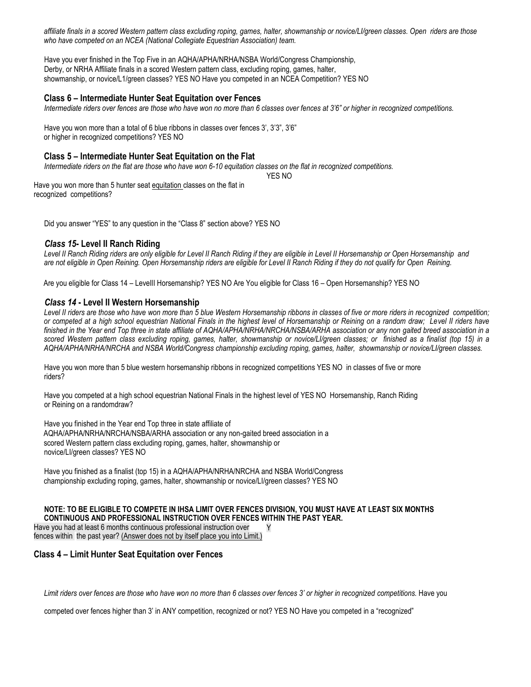*affiliate finals in a scored Western pattern class excluding roping, games, halter, showmanship or novice/LI/green classes. Open riders are those who have competed on an NCEA (National Collegiate Equestrian Association) team.*

Have you ever finished in the Top Five in an AQHA/APHA/NRHA/NSBA World/Congress Championship, Derby, or NRHA Affiliate finals in a scored Western pattern class, excluding roping, games, halter, showmanship, or novice/L1/green classes? YES NO Have you competed in an NCEA Competition? YES NO

## **Class 6 – Intermediate Hunter Seat Equitation over Fences**

*Intermediate riders over fences are those who have won no more than 6 classes over fences at 3'6" or higher in recognized competitions.*

Have you won more than a total of 6 blue ribbons in classes over fences 3', 3'3", 3'6" or higher in recognized competitions? YES NO

### **Class 5 – Intermediate Hunter Seat Equitation on the Flat**

*Intermediate riders on the flat are those who have won 6-10 equitation classes on the flat in recognized competitions.*

YES NO

Have you won more than 5 hunter seat equitation classes on the flat in recognized competitions?

Did you answer "YES" to any question in the "Class 8" section above? YES NO

### *Class 15***- Level II Ranch Riding**

*Level II Ranch Riding riders are only eligible for Level II Ranch Riding if they are eligible in Level II Horsemanship or Open Horsemanship and are not eligible in Open Reining. Open Horsemanship riders are eligible for Level II Ranch Riding if they do not qualify for Open Reining.*

Are you eligible for Class 14 – LevelII Horsemanship? YES NO Are You eligible for Class 16 – Open Horsemanship? YES NO

### *Class 14* **- Level II Western Horsemanship**

*Level II riders are those who have won more than 5 blue Western Horsemanship ribbons in classes of five or more riders in recognized competition; or competed at a high school equestrian National Finals in the highest level of Horsemanship or Reining on a random draw; Level II riders have finished in the Year end Top three in state affiliate of AQHA/APHA/NRHA/NRCHA/NSBA/ARHA association or any non gaited breed association in a scored Western pattern class excluding roping, games, halter, showmanship or novice/LI/green classes; or finished as a finalist (top 15) in a AQHA/APHA/NRHA/NRCHA and NSBA World/Congress championship excluding roping, games, halter, showmanship or novice/LI/green classes.*

Have you won more than 5 blue western horsemanship ribbons in recognized competitions YES NO in classes of five or more riders?

Have you competed at a high school equestrian National Finals in the highest level of YES NO Horsemanship, Ranch Riding or Reining on a randomdraw?

Have you finished in the Year end Top three in state affiliate of AQHA/APHA/NRHA/NRCHA/NSBA/ARHA association or any non-gaited breed association in a scored Western pattern class excluding roping, games, halter, showmanship or novice/LI/green classes? YES NO

Have you finished as a finalist (top 15) in a AQHA/APHA/NRHA/NRCHA and NSBA World/Congress championship excluding roping, games, halter, showmanship or novice/LI/green classes? YES NO

#### **NOTE: TO BE ELIGIBLE TO COMPETE IN IHSA LIMIT OVER FENCES DIVISION, YOU MUST HAVE AT LEAST SIX MONTHS CONTINUOUS AND PROFESSIONAL INSTRUCTION OVER FENCES WITHIN THE PAST YEAR.**

Have you had at least 6 months continuous professional instruction over fences within the past year? (Answer does not by itself place you into Limit.) Y

### **Class 4 – Limit Hunter Seat Equitation over Fences**

Limit riders over fences are those who have won no more than 6 classes over fences 3' or higher in recognized competitions. Have you

competed over fences higher than 3' in ANY competition, recognized or not? YES NO Have you competed in a "recognized"